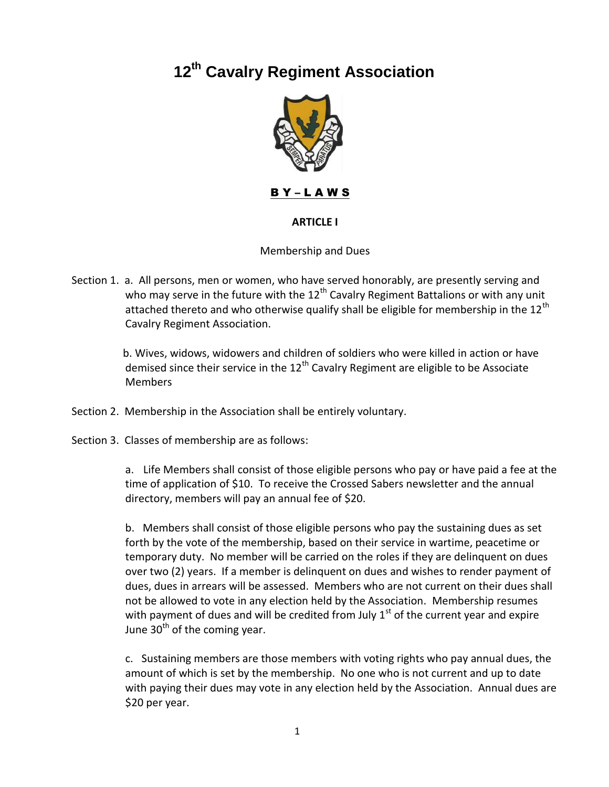# **12th Cavalry Regiment Association**



B Y – L A W S

## **ARTICLE I**

#### Membership and Dues

Section 1. a. All persons, men or women, who have served honorably, are presently serving and who may serve in the future with the  $12<sup>th</sup>$  Cavalry Regiment Battalions or with any unit attached thereto and who otherwise qualify shall be eligible for membership in the 12<sup>th</sup> Cavalry Regiment Association.

> b. Wives, widows, widowers and children of soldiers who were killed in action or have demised since their service in the  $12<sup>th</sup>$  Cavalry Regiment are eligible to be Associate Members

Section 2. Membership in the Association shall be entirely voluntary.

Section 3. Classes of membership are as follows:

a. Life Members shall consist of those eligible persons who pay or have paid a fee at the time of application of \$10. To receive the Crossed Sabers newsletter and the annual directory, members will pay an annual fee of \$20.

b. Members shall consist of those eligible persons who pay the sustaining dues as set forth by the vote of the membership, based on their service in wartime, peacetime or temporary duty. No member will be carried on the roles if they are delinquent on dues over two (2) years. If a member is delinquent on dues and wishes to render payment of dues, dues in arrears will be assessed. Members who are not current on their dues shall not be allowed to vote in any election held by the Association. Membership resumes with payment of dues and will be credited from July  $1<sup>st</sup>$  of the current year and expire June  $30<sup>th</sup>$  of the coming year.

c. Sustaining members are those members with voting rights who pay annual dues, the amount of which is set by the membership. No one who is not current and up to date with paying their dues may vote in any election held by the Association. Annual dues are \$20 per year.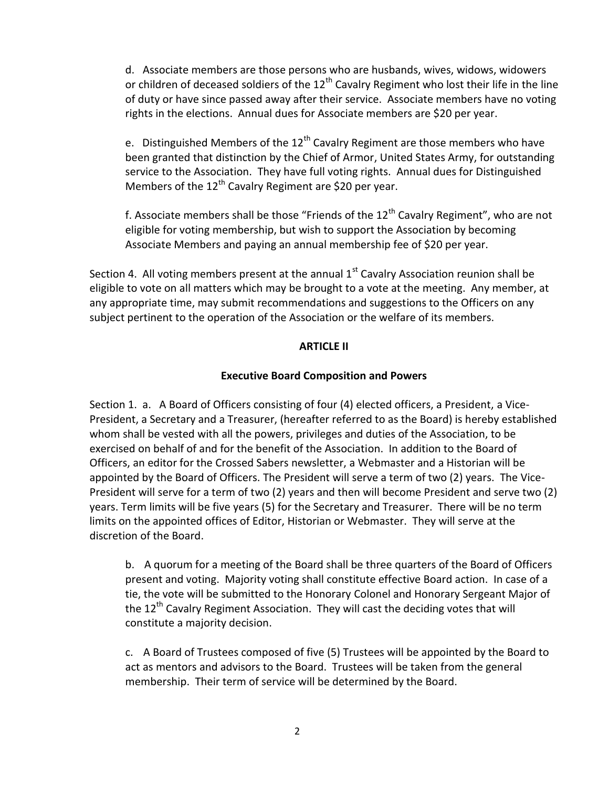d. Associate members are those persons who are husbands, wives, widows, widowers or children of deceased soldiers of the  $12<sup>th</sup>$  Cavalry Regiment who lost their life in the line of duty or have since passed away after their service. Associate members have no voting rights in the elections. Annual dues for Associate members are \$20 per year.

e. Distinguished Members of the  $12<sup>th</sup>$  Cavalry Regiment are those members who have been granted that distinction by the Chief of Armor, United States Army, for outstanding service to the Association. They have full voting rights. Annual dues for Distinguished Members of the  $12<sup>th</sup>$  Cavalry Regiment are \$20 per year.

f. Associate members shall be those "Friends of the  $12<sup>th</sup>$  Cavalry Regiment", who are not eligible for voting membership, but wish to support the Association by becoming Associate Members and paying an annual membership fee of \$20 per year.

Section 4. All voting members present at the annual  $1<sup>st</sup>$  Cavalry Association reunion shall be eligible to vote on all matters which may be brought to a vote at the meeting. Any member, at any appropriate time, may submit recommendations and suggestions to the Officers on any subject pertinent to the operation of the Association or the welfare of its members.

## **ARTICLE II**

## **Executive Board Composition and Powers**

Section 1. a. A Board of Officers consisting of four (4) elected officers, a President, a Vice-President, a Secretary and a Treasurer, (hereafter referred to as the Board) is hereby established whom shall be vested with all the powers, privileges and duties of the Association, to be exercised on behalf of and for the benefit of the Association. In addition to the Board of Officers, an editor for the Crossed Sabers newsletter, a Webmaster and a Historian will be appointed by the Board of Officers. The President will serve a term of two (2) years. The Vice-President will serve for a term of two (2) years and then will become President and serve two (2) years. Term limits will be five years (5) for the Secretary and Treasurer. There will be no term limits on the appointed offices of Editor, Historian or Webmaster. They will serve at the discretion of the Board.

b. A quorum for a meeting of the Board shall be three quarters of the Board of Officers present and voting. Majority voting shall constitute effective Board action. In case of a tie, the vote will be submitted to the Honorary Colonel and Honorary Sergeant Major of the 12<sup>th</sup> Cavalry Regiment Association. They will cast the deciding votes that will constitute a majority decision.

c. A Board of Trustees composed of five (5) Trustees will be appointed by the Board to act as mentors and advisors to the Board. Trustees will be taken from the general membership. Their term of service will be determined by the Board.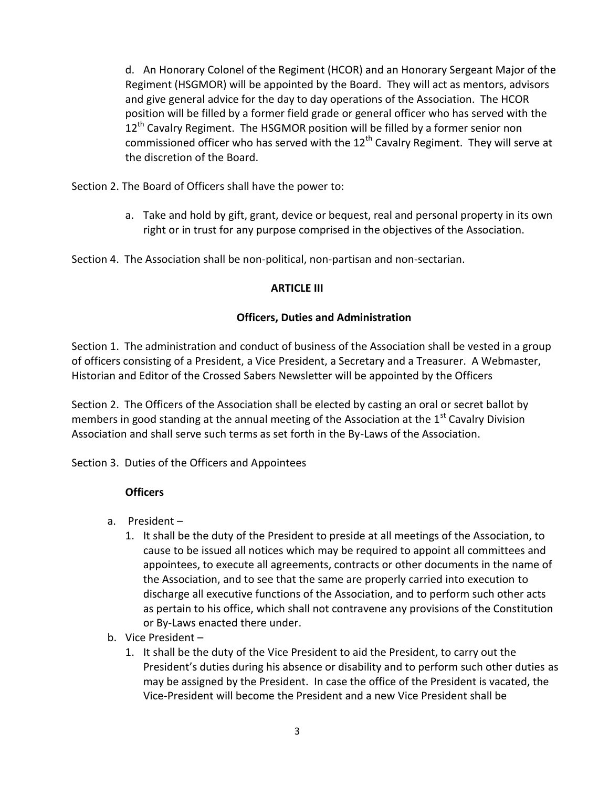d. An Honorary Colonel of the Regiment (HCOR) and an Honorary Sergeant Major of the Regiment (HSGMOR) will be appointed by the Board. They will act as mentors, advisors and give general advice for the day to day operations of the Association. The HCOR position will be filled by a former field grade or general officer who has served with the 12<sup>th</sup> Cavalry Regiment. The HSGMOR position will be filled by a former senior non commissioned officer who has served with the  $12<sup>th</sup>$  Cavalry Regiment. They will serve at the discretion of the Board.

Section 2. The Board of Officers shall have the power to:

a. Take and hold by gift, grant, device or bequest, real and personal property in its own right or in trust for any purpose comprised in the objectives of the Association.

Section 4. The Association shall be non-political, non-partisan and non-sectarian.

## **ARTICLE III**

## **Officers, Duties and Administration**

Section 1. The administration and conduct of business of the Association shall be vested in a group of officers consisting of a President, a Vice President, a Secretary and a Treasurer. A Webmaster, Historian and Editor of the Crossed Sabers Newsletter will be appointed by the Officers

Section 2. The Officers of the Association shall be elected by casting an oral or secret ballot by members in good standing at the annual meeting of the Association at the  $1<sup>st</sup>$  Cavalry Division Association and shall serve such terms as set forth in the By-Laws of the Association.

Section 3. Duties of the Officers and Appointees

## **Officers**

- a. President
	- 1. It shall be the duty of the President to preside at all meetings of the Association, to cause to be issued all notices which may be required to appoint all committees and appointees, to execute all agreements, contracts or other documents in the name of the Association, and to see that the same are properly carried into execution to discharge all executive functions of the Association, and to perform such other acts as pertain to his office, which shall not contravene any provisions of the Constitution or By-Laws enacted there under.
- b. Vice President
	- 1. It shall be the duty of the Vice President to aid the President, to carry out the President's duties during his absence or disability and to perform such other duties as may be assigned by the President. In case the office of the President is vacated, the Vice-President will become the President and a new Vice President shall be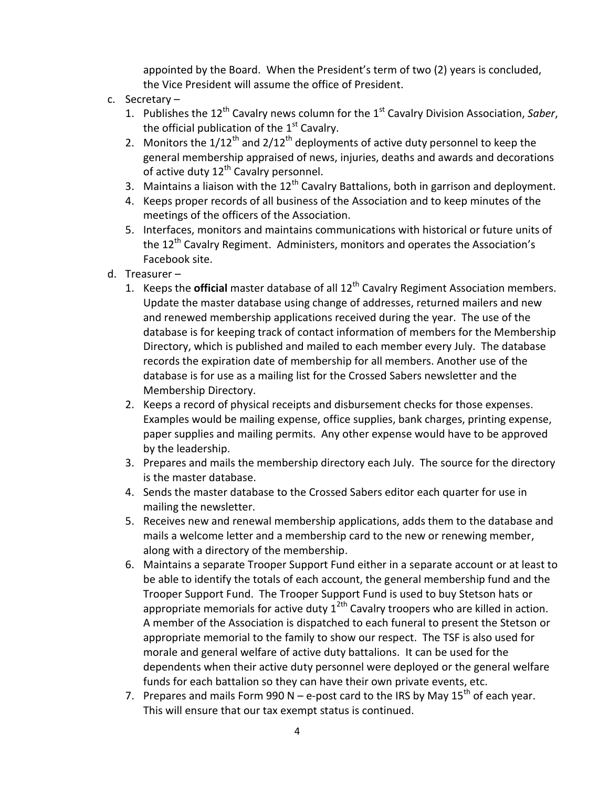appointed by the Board. When the President's term of two (2) years is concluded, the Vice President will assume the office of President.

- c. Secretary
	- 1. Publishes the 12th Cavalry news column for the 1st Cavalry Division Association, *Saber*, the official publication of the  $1<sup>st</sup>$  Cavalry.
	- 2. Monitors the  $1/12^{th}$  and  $2/12^{th}$  deployments of active duty personnel to keep the general membership appraised of news, injuries, deaths and awards and decorations of active duty  $12^{th}$  Cavalry personnel.
	- 3. Maintains a liaison with the  $12<sup>th</sup>$  Cavalry Battalions, both in garrison and deployment.
	- 4. Keeps proper records of all business of the Association and to keep minutes of the meetings of the officers of the Association.
	- 5. Interfaces, monitors and maintains communications with historical or future units of the 12<sup>th</sup> Cavalry Regiment. Administers, monitors and operates the Association's Facebook site.
- d. Treasurer
	- 1. Keeps the **official** master database of all 12th Cavalry Regiment Association members. Update the master database using change of addresses, returned mailers and new and renewed membership applications received during the year. The use of the database is for keeping track of contact information of members for the Membership Directory, which is published and mailed to each member every July. The database records the expiration date of membership for all members. Another use of the database is for use as a mailing list for the Crossed Sabers newsletter and the Membership Directory.
	- 2. Keeps a record of physical receipts and disbursement checks for those expenses. Examples would be mailing expense, office supplies, bank charges, printing expense, paper supplies and mailing permits. Any other expense would have to be approved by the leadership.
	- 3. Prepares and mails the membership directory each July. The source for the directory is the master database.
	- 4. Sends the master database to the Crossed Sabers editor each quarter for use in mailing the newsletter.
	- 5. Receives new and renewal membership applications, adds them to the database and mails a welcome letter and a membership card to the new or renewing member, along with a directory of the membership.
	- 6. Maintains a separate Trooper Support Fund either in a separate account or at least to be able to identify the totals of each account, the general membership fund and the Trooper Support Fund. The Trooper Support Fund is used to buy Stetson hats or appropriate memorials for active duty  $1^{2th}$  Cavalry troopers who are killed in action. A member of the Association is dispatched to each funeral to present the Stetson or appropriate memorial to the family to show our respect. The TSF is also used for morale and general welfare of active duty battalions. It can be used for the dependents when their active duty personnel were deployed or the general welfare funds for each battalion so they can have their own private events, etc.
	- 7. Prepares and mails Form 990 N e-post card to the IRS by May  $15<sup>th</sup>$  of each year. This will ensure that our tax exempt status is continued.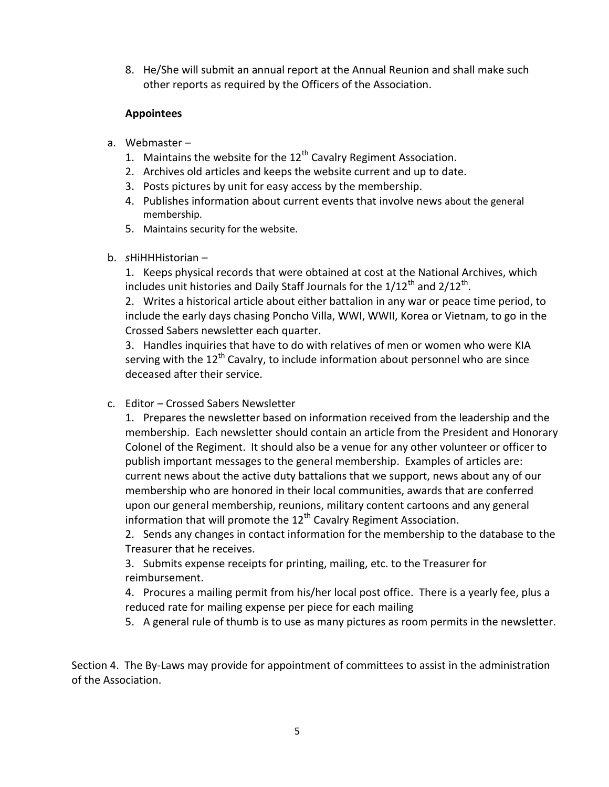8. He/She will submit an annual report at the Annual Reunion and shall make such other reports as required by the Officers of the Association.

# **Appointees**

- a. Webmaster
	- 1. Maintains the website for the  $12<sup>th</sup>$  Cavalry Regiment Association.
	- 2. Archives old articles and keeps the website current and up to date.
	- 3. Posts pictures by unit for easy access by the membership.
	- 4. Publishes information about current events that involve news about the general membership.
	- 5. Maintains security for the website.
- b. *s*HiHHHistorian –

1. Keeps physical records that were obtained at cost at the National Archives, which includes unit histories and Daily Staff Journals for the 1/12<sup>th</sup> and 2/12<sup>th</sup>.

2. Writes a historical article about either battalion in any war or peace time period, to include the early days chasing Poncho Villa, WWI, WWII, Korea or Vietnam, to go in the Crossed Sabers newsletter each quarter.

3. Handles inquiries that have to do with relatives of men or women who were KIA serving with the  $12<sup>th</sup>$  Cavalry, to include information about personnel who are since deceased after their service.

c. Editor – Crossed Sabers Newsletter

1. Prepares the newsletter based on information received from the leadership and the membership. Each newsletter should contain an article from the President and Honorary Colonel of the Regiment. It should also be a venue for any other volunteer or officer to publish important messages to the general membership. Examples of articles are: current news about the active duty battalions that we support, news about any of our membership who are honored in their local communities, awards that are conferred upon our general membership, reunions, military content cartoons and any general information that will promote the  $12<sup>th</sup>$  Cavalry Regiment Association.

2. Sends any changes in contact information for the membership to the database to the Treasurer that he receives.

3. Submits expense receipts for printing, mailing, etc. to the Treasurer for reimbursement.

4. Procures a mailing permit from his/her local post office. There is a yearly fee, plus a reduced rate for mailing expense per piece for each mailing

5. A general rule of thumb is to use as many pictures as room permits in the newsletter.

Section 4. The By-Laws may provide for appointment of committees to assist in the administration of the Association.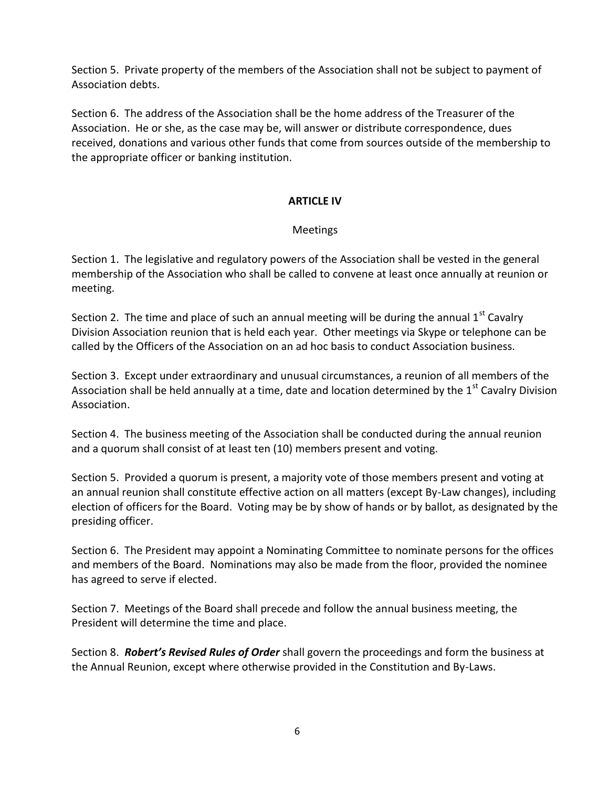Section 5. Private property of the members of the Association shall not be subject to payment of Association debts.

Section 6. The address of the Association shall be the home address of the Treasurer of the Association. He or she, as the case may be, will answer or distribute correspondence, dues received, donations and various other funds that come from sources outside of the membership to the appropriate officer or banking institution.

## **ARTICLE IV**

## Meetings

Section 1. The legislative and regulatory powers of the Association shall be vested in the general membership of the Association who shall be called to convene at least once annually at reunion or meeting.

Section 2. The time and place of such an annual meeting will be during the annual  $1<sup>st</sup>$  Cavalry Division Association reunion that is held each year. Other meetings via Skype or telephone can be called by the Officers of the Association on an ad hoc basis to conduct Association business.

Section 3. Except under extraordinary and unusual circumstances, a reunion of all members of the Association shall be held annually at a time, date and location determined by the 1<sup>st</sup> Cavalry Division Association.

Section 4. The business meeting of the Association shall be conducted during the annual reunion and a quorum shall consist of at least ten (10) members present and voting.

Section 5. Provided a quorum is present, a majority vote of those members present and voting at an annual reunion shall constitute effective action on all matters (except By-Law changes), including election of officers for the Board. Voting may be by show of hands or by ballot, as designated by the presiding officer.

Section 6. The President may appoint a Nominating Committee to nominate persons for the offices and members of the Board. Nominations may also be made from the floor, provided the nominee has agreed to serve if elected.

Section 7. Meetings of the Board shall precede and follow the annual business meeting, the President will determine the time and place.

Section 8. *Robert's Revised Rules of Order* shall govern the proceedings and form the business at the Annual Reunion, except where otherwise provided in the Constitution and By-Laws.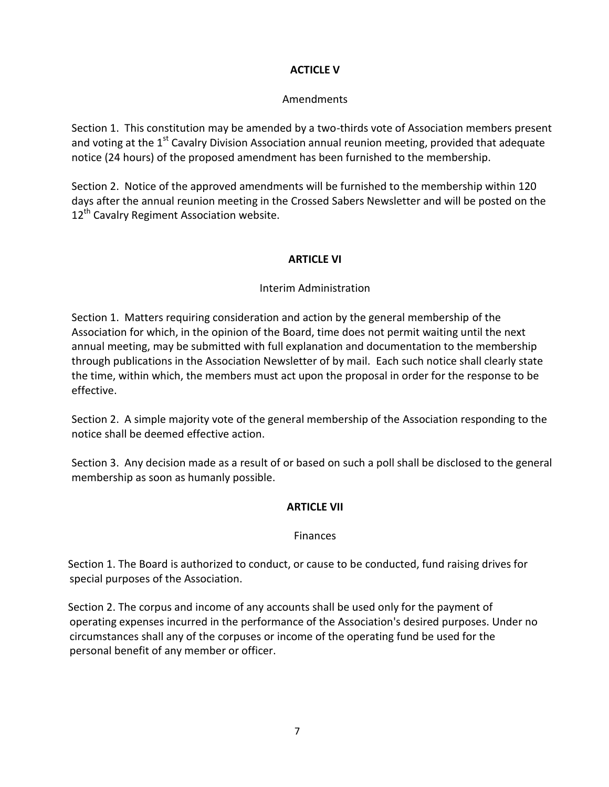# **ACTICLE V**

## Amendments

Section 1. This constitution may be amended by a two-thirds vote of Association members present and voting at the  $1<sup>st</sup>$  Cavalry Division Association annual reunion meeting, provided that adequate notice (24 hours) of the proposed amendment has been furnished to the membership.

Section 2. Notice of the approved amendments will be furnished to the membership within 120 days after the annual reunion meeting in the Crossed Sabers Newsletter and will be posted on the 12<sup>th</sup> Cavalry Regiment Association website.

## **ARTICLE VI**

# Interim Administration

Section 1. Matters requiring consideration and action by the general membership of the Association for which, in the opinion of the Board, time does not permit waiting until the next annual meeting, may be submitted with full explanation and documentation to the membership through publications in the Association Newsletter of by mail. Each such notice shall clearly state the time, within which, the members must act upon the proposal in order for the response to be effective.

Section 2. A simple majority vote of the general membership of the Association responding to the notice shall be deemed effective action.

Section 3. Any decision made as a result of or based on such a poll shall be disclosed to the general membership as soon as humanly possible.

## **ARTICLE VII**

#### **Finances**

Section 1. The Board is authorized to conduct, or cause to be conducted, fund raising drives for special purposes of the Association.

Section 2. The corpus and income of any accounts shall be used only for the payment of operating expenses incurred in the performance of the Association's desired purposes. Under no circumstances shall any of the corpuses or income of the operating fund be used for the personal benefit of any member or officer.